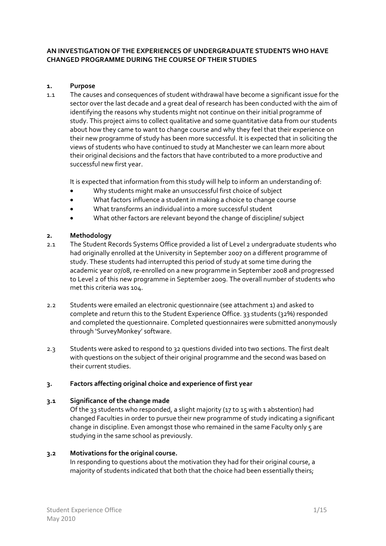### **AN INVESTIGATION OF THE EXPERIENCES OF UNDERGRADUATE STUDENTS WHO HAVE CHANGED PROGRAMME DURING THE COURSE OF THEIR STUDIES**

#### **1. Purpose**

1.1 The causes and consequences of student withdrawal have become a significant issue for the sector over the last decade and a great deal of research has been conducted with the aim of identifying the reasons why students might not continue on their initial programme of study. This project aims to collect qualitative and some quantitative data from our students about how they came to want to change course and why they feel that their experience on their new programme of study has been more successful. It is expected that in soliciting the views of students who have continued to study at Manchester we can learn more about their original decisions and the factors that have contributed to a more productive and successful new first year.

It is expected that information from this study will help to inform an understanding of:

- Why students might make an unsuccessful first choice of subject
- What factors influence a student in making a choice to change course
- What transforms an individual into a more successful student
- What other factors are relevant beyond the change of discipline/ subject

### **2. Methodology**

- 2.1 The Student Records Systems Office provided a list of Level 2 undergraduate students who had originally enrolled at the University in September 2007 on a different programme of study. These students had interrupted this period of study at some time during the academic year 07/08, re‐enrolled on a new programme in September 2008 and progressed to Level 2 of this new programme in September 2009. The overall number of students who met this criteria was 104.
- 2.2 Students were emailed an electronic questionnaire (see attachment 1) and asked to complete and return this to the Student Experience Office. 33 students (32%) responded and completed the questionnaire. Completed questionnaires were submitted anonymously through 'SurveyMonkey' software.
- 2.3 Students were asked to respond to 32 questions divided into two sections. The first dealt with questions on the subject of their original programme and the second was based on their current studies.

### **3. Factors affecting original choice and experience of first year**

### **3.1 Significance of the change made**

Of the 33 students who responded, a slight majority (17 to 15 with 1 abstention) had changed Faculties in order to pursue their new programme of study indicating a significant change in discipline. Even amongst those who remained in the same Faculty only 5 are studying in the same school as previously.

### **3.2 Motivations for the original course.**

In responding to questions about the motivation they had for their original course, a majority of students indicated that both that the choice had been essentially theirs;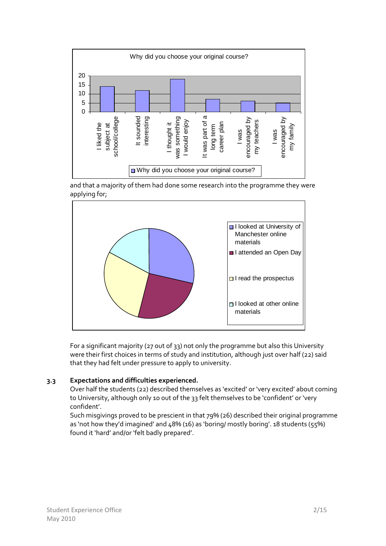

and that a majority of them had done some research into the programme they were applying for;



For a significant majority (27 out of 33) not only the programme but also this University were their first choices in terms of study and institution, although just over half (22) said that they had felt under pressure to apply to university.

### **3.3 Expectations and difficulties experienced.**

Over half the students (22) described themselves as 'excited' or 'very excited' about coming to University, although only 10 out of the 33 felt themselves to be 'confident' or 'very confident'.

Such misgivings proved to be prescient in that 79% (26) described their original programme as 'not how they'd imagined' and  $48\%$  (16) as 'boring/ mostly boring'. 18 students (55%) found it 'hard' and/or 'felt badly prepared'.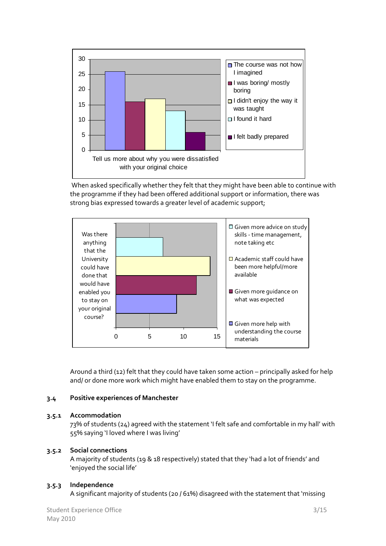

When asked specifically whether they felt that they might have been able to continue with the programme if they had been offered additional support or information, there was strong bias expressed towards a greater level of academic support;



Around a third (12) felt that they could have taken some action – principally asked for help and/ or done more work which might have enabled them to stay on the programme.

### **3.4 Positive experiences of Manchester**

### **3.5.1 Accommodation**

73% of students (24) agreed with the statement 'I felt safe and comfortable in my hall' with 55% saying 'I loved where I was living'

## **3.5.2 Social connections**

A majority of students (19 & 18 respectively) stated that they 'had a lot of friends' and 'enjoyed the social life'

### **3.5.3 Independence**

A significant majority of students (20 / 61%) disagreed with the statement that 'missing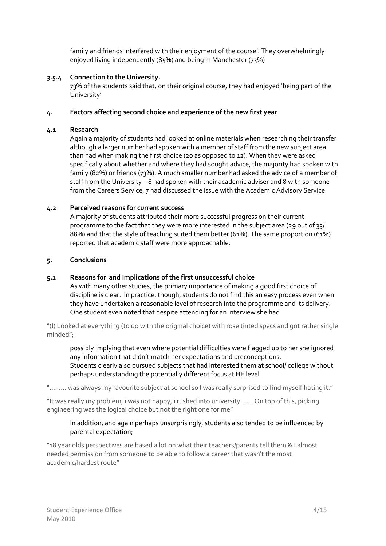family and friends interfered with their enjoyment of the course'. They overwhelmingly enjoyed living independently (85%) and being in Manchester (73%)

## **3.5.4 Connection to the University.**

73% of the students said that, on their original course, they had enjoyed 'being part of the University'

## **4. Factors affecting second choice and experience of the new first year**

### **4.1 Research**

Again a majority of students had looked at online materials when researching their transfer although a larger number had spoken with a member of staff from the new subject area than had when making the first choice (20 as opposed to 12). When they were asked specifically about whether and where they had sought advice, the majority had spoken with family (82%) or friends (73%). A much smaller number had asked the advice of a member of staff from the University – 8 had spoken with their academic adviser and 8 with someone from the Careers Service, 7 had discussed the issue with the Academic Advisory Service.

## **4.2 Perceived reasons for current success**

A majority of students attributed their more successful progress on their current programme to the fact that they were more interested in the subject area (29 out of 33/ 88%) and that the style of teaching suited them better (61%). The same proportion (61%) reported that academic staff were more approachable.

## **5. Conclusions**

# **5.1 Reasons for and Implications of the first unsuccessful choice**

As with many other studies, the primary importance of making a good first choice of discipline is clear. In practice, though, students do not find this an easy process even when they have undertaken a reasonable level of research into the programme and its delivery. One student even noted that despite attending for an interview she had

"(I) Looked at everything (to do with the original choice) with rose tinted specs and got rather single minded";

possibly implying that even where potential difficulties were flagged up to her she ignored any information that didn't match her expectations and preconceptions. Students clearly also pursued subjects that had interested them at school/ college without perhaps understanding the potentially different focus at HE level

"……… was always my favourite subject at school so I was really surprised to find myself hating it."

"It was really my problem, i was not happy, i rushed into university …… On top of this, picking engineering was the logical choice but not the right one for me"

## In addition, and again perhaps unsurprisingly, students also tended to be influenced by parental expectation;

"18 year olds perspectives are based a lot on what their teachers/parents tell them & I almost needed permission from someone to be able to follow a career that wasn't the most academic/hardest route"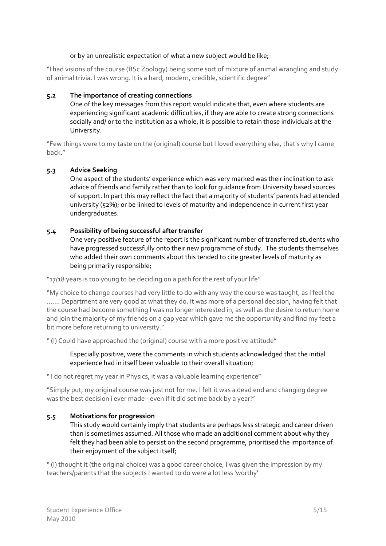### or by an unrealistic expectation of what a new subject would be like;

"I had visions of the course (BSc Zoology) being some sort of mixture of animal wrangling and study of animal trivia. I was wrong. It is a hard, modern, credible, scientific degree"

### **5.2 The importance of creating connections**

One of the key messages from this report would indicate that, even where students are experiencing significant academic difficulties, if they are able to create strong connections socially and/ or to the institution as a whole, it is possible to retain those individuals at the University.

"Few things were to my taste on the (original) course but I loved everything else, that's why I came back."

## **5.3 Advice Seeking**

One aspect of the students' experience which was very marked was their inclination to ask advice of friends and family rather than to look for guidance from University based sources of support. In part this may reflect the fact that a majority of students' parents had attended university (52%); or be linked to levels of maturity and independence in current first year undergraduates.

### **5.4 Possibility of being successful after transfer**

One very positive feature of the report is the significant number of transferred students who have progressed successfully onto their new programme of study. The students themselves who added their own comments about this tended to cite greater levels of maturity as being primarily responsible;

"17/18 years is too young to be deciding on a path for the rest of your life"

"My choice to change courses had very little to do with any way the course was taught, as I feel the ……. Department are very good at what they do. It was more of a personal decision, having felt that the course had become something I was no longer interested in, as well as the desire to return home and join the majority of my friends on a gap year which gave me the opportunity and find my feet a bit more before returning to university."

" (I) Could have approached the (original) course with a more positive attitude"

### Especially positive, were the comments in which students acknowledged that the initial experience had in itself been valuable to their overall situation;

" I do not regret my year in Physics, it was a valuable learning experience"

"Simply put, my original course was just not for me. I felt it was a dead end and changing degree was the best decision i ever made - even if it did set me back by a year!"

### **5.5 Motivations for progression**

This study would certainly imply that students are perhaps less strategic and career driven than is sometimes assumed. All those who made an additional comment about why they felt they had been able to persist on the second programme, prioritised the importance of their enjoyment of the subject itself;

" (I) thought it (the original choice) was a good career choice, I was given the impression by my teachers/parents that the subjects I wanted to do were a lot less 'worthy'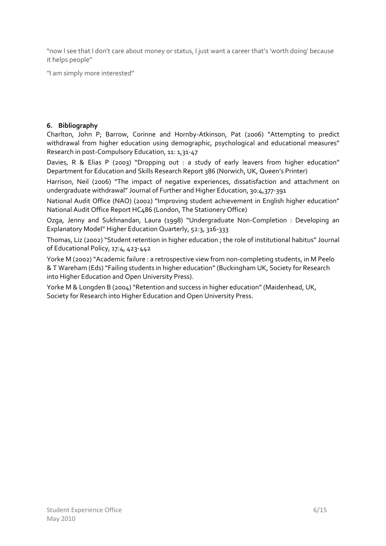"now I see that I don't care about money or status, I just want a career that's 'worth doing' because it helps people"

"I am simply more interested"

## **6. Bibliography**

Charlton, John P; Barrow, Corinne and Hornby‐Atkinson, Pat (2006) "Attempting to predict withdrawal from higher education using demographic, psychological and educational measures" Research in post‐Compulsory Education, 11: 1,31‐47

Davies, R & Elias P (2003) "Dropping out : a study of early leavers from higher education" Department for Education and Skills Research Report 386 (Norwich, UK, Queen's Printer)

Harrison, Neil (2006) "The impact of negative experiences, dissatisfaction and attachment on undergraduate withdrawal" Journal of Further and Higher Education, 30:4,377‐391

National Audit Office (NAO) (2002) "Improving student achievement in English higher education" National Audit Office Report HC486 (London, The Stationery Office)

Ozga, Jenny and Sukhnandan, Laura (1998) "Undergraduate Non‐Completion : Developing an Explanatory Model" Higher Education Quarterly, 52:3, 316‐333

Thomas, Liz (2002) "Student retention in higher education ; the role of institutional habitus" Journal of Educational Policy, 17:4, 423‐442

Yorke M (2002) "Academic failure : a retrospective view from non‐completing students, in M Peelo & T Wareham (Eds) "Failing students in higher education" (Buckingham UK, Society for Research into Higher Education and Open University Press).

Yorke M & Longden B (2004) "Retention and success in higher education" (Maidenhead, UK, Society for Research into Higher Education and Open University Press.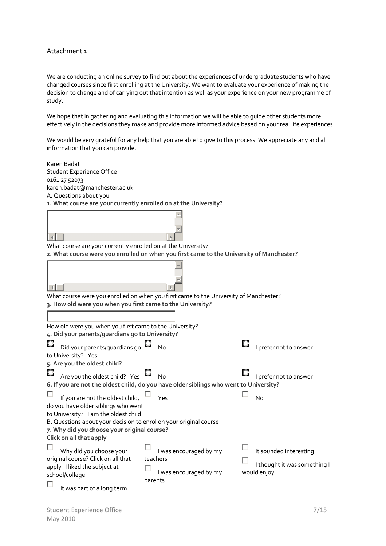#### Attachment 1

We are conducting an online survey to find out about the experiences of undergraduate students who have changed courses since first enrolling at the University. We want to evaluate your experience of making the decision to change and of carrying out that intention as well as your experience on your new programme of study.

We hope that in gathering and evaluating this information we will be able to guide other students more effectively in the decisions they make and provide more informed advice based on your real life experiences.

We would be very grateful for any help that you are able to give to this process. We appreciate any and all information that you can provide.

| <b>Student Experience Office</b><br>0161 27 52073<br>karen.badat@manchester.ac.uk<br>A. Questions about you<br>1. What course are your currently enrolled on at the University?<br>What course are your currently enrolled on at the University?<br>2. What course were you enrolled on when you first came to the University of Manchester?<br>What course were you enrolled on when you first came to the University of Manchester?<br>3. How old were you when you first came to the University? |
|-----------------------------------------------------------------------------------------------------------------------------------------------------------------------------------------------------------------------------------------------------------------------------------------------------------------------------------------------------------------------------------------------------------------------------------------------------------------------------------------------------|
|                                                                                                                                                                                                                                                                                                                                                                                                                                                                                                     |
|                                                                                                                                                                                                                                                                                                                                                                                                                                                                                                     |
|                                                                                                                                                                                                                                                                                                                                                                                                                                                                                                     |
|                                                                                                                                                                                                                                                                                                                                                                                                                                                                                                     |
|                                                                                                                                                                                                                                                                                                                                                                                                                                                                                                     |
|                                                                                                                                                                                                                                                                                                                                                                                                                                                                                                     |
|                                                                                                                                                                                                                                                                                                                                                                                                                                                                                                     |
|                                                                                                                                                                                                                                                                                                                                                                                                                                                                                                     |
|                                                                                                                                                                                                                                                                                                                                                                                                                                                                                                     |
|                                                                                                                                                                                                                                                                                                                                                                                                                                                                                                     |
|                                                                                                                                                                                                                                                                                                                                                                                                                                                                                                     |
|                                                                                                                                                                                                                                                                                                                                                                                                                                                                                                     |
|                                                                                                                                                                                                                                                                                                                                                                                                                                                                                                     |
|                                                                                                                                                                                                                                                                                                                                                                                                                                                                                                     |
| How old were you when you first came to the University?                                                                                                                                                                                                                                                                                                                                                                                                                                             |
| 4. Did your parents/guardians go to University?                                                                                                                                                                                                                                                                                                                                                                                                                                                     |
| Did your parents/quardians go<br>I prefer not to answer<br><b>No</b><br>to University? Yes                                                                                                                                                                                                                                                                                                                                                                                                          |
| 5. Are you the oldest child?                                                                                                                                                                                                                                                                                                                                                                                                                                                                        |
| Are you the oldest child? Yes<br>No<br>I prefer not to answer                                                                                                                                                                                                                                                                                                                                                                                                                                       |
| 6. If you are not the oldest child, do you have older siblings who went to University?                                                                                                                                                                                                                                                                                                                                                                                                              |
| If you are not the oldest child,<br>Yes<br>No<br>do you have older siblings who went<br>to University? I am the oldest child<br>B. Questions about your decision to enrol on your original course                                                                                                                                                                                                                                                                                                   |
| 7. Why did you choose your original course?                                                                                                                                                                                                                                                                                                                                                                                                                                                         |
| Click on all that apply                                                                                                                                                                                                                                                                                                                                                                                                                                                                             |
| I was encouraged by my<br>Why did you choose your<br>It sounded interesting                                                                                                                                                                                                                                                                                                                                                                                                                         |
| original course? Click on all that<br>teachers                                                                                                                                                                                                                                                                                                                                                                                                                                                      |
| I thought it was something I<br>apply I liked the subject at                                                                                                                                                                                                                                                                                                                                                                                                                                        |
| I was encouraged by my<br>would enjoy<br>school/college                                                                                                                                                                                                                                                                                                                                                                                                                                             |
| parents<br>It was part of a long term                                                                                                                                                                                                                                                                                                                                                                                                                                                               |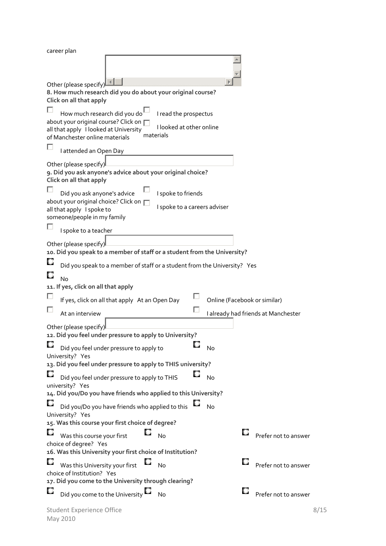| career plan                                                                                        |                              |           |                                     |      |
|----------------------------------------------------------------------------------------------------|------------------------------|-----------|-------------------------------------|------|
|                                                                                                    |                              |           |                                     |      |
|                                                                                                    |                              |           |                                     |      |
| Other (please specify)                                                                             |                              |           |                                     |      |
| 8. How much research did you do about your original course?                                        |                              |           |                                     |      |
| Click on all that apply                                                                            |                              |           |                                     |      |
| How much research did you do                                                                       | I read the prospectus        |           |                                     |      |
| about your original course? Click on                                                               | I looked at other online     |           |                                     |      |
| all that apply I looked at University<br>materials<br>of Manchester online materials               |                              |           |                                     |      |
|                                                                                                    |                              |           |                                     |      |
| I attended an Open Day                                                                             |                              |           |                                     |      |
| Other (please specify)                                                                             |                              |           |                                     |      |
| 9. Did you ask anyone's advice about your original choice?                                         |                              |           |                                     |      |
| Click on all that apply                                                                            |                              |           |                                     |      |
| Did you ask anyone's advice                                                                        | I spoke to friends           |           |                                     |      |
| about your original choice? Click on<br>all that apply I spoke to                                  | I spoke to a careers adviser |           |                                     |      |
| someone/people in my family                                                                        |                              |           |                                     |      |
| I spoke to a teacher                                                                               |                              |           |                                     |      |
|                                                                                                    |                              |           |                                     |      |
| Other (please specify)<br>10. Did you speak to a member of staff or a student from the University? |                              |           |                                     |      |
|                                                                                                    |                              |           |                                     |      |
| Did you speak to a member of staff or a student from the University? Yes                           |                              |           |                                     |      |
| No                                                                                                 |                              |           |                                     |      |
| 11. If yes, click on all that apply                                                                |                              |           |                                     |      |
| If yes, click on all that apply At an Open Day                                                     |                              |           | Online (Facebook or similar)        |      |
| At an interview                                                                                    |                              |           | I already had friends at Manchester |      |
| Other (please specify)                                                                             |                              |           |                                     |      |
| 12. Did you feel under pressure to apply to University?                                            |                              |           |                                     |      |
| Did you feel under pressure to apply to                                                            | O                            | No        |                                     |      |
| University? Yes                                                                                    |                              |           |                                     |      |
| 13. Did you feel under pressure to apply to THIS university?                                       |                              |           |                                     |      |
| Did you feel under pressure to apply to THIS                                                       |                              | No        |                                     |      |
| university? Yes                                                                                    |                              |           |                                     |      |
| 14. Did you/Do you have friends who applied to this University?                                    |                              |           |                                     |      |
| Did you/Do you have friends who applied to this                                                    |                              | <b>No</b> |                                     |      |
| University? Yes                                                                                    |                              |           |                                     |      |
| 15. Was this course your first choice of degree?                                                   |                              |           |                                     |      |
| Was this course your first                                                                         | No                           |           | Prefer not to answer                |      |
| choice of degree? Yes<br>16. Was this University your first choice of Institution?                 |                              |           |                                     |      |
|                                                                                                    |                              |           |                                     |      |
| Was this University your first<br>choice of Institution? Yes                                       | No                           |           | Prefer not to answer                |      |
| 17. Did you come to the University through clearing?                                               |                              |           |                                     |      |
| Did you come to the University                                                                     | No                           |           | Prefer not to answer                |      |
|                                                                                                    |                              |           |                                     |      |
| <b>Student Experience Office</b>                                                                   |                              |           |                                     | 8/15 |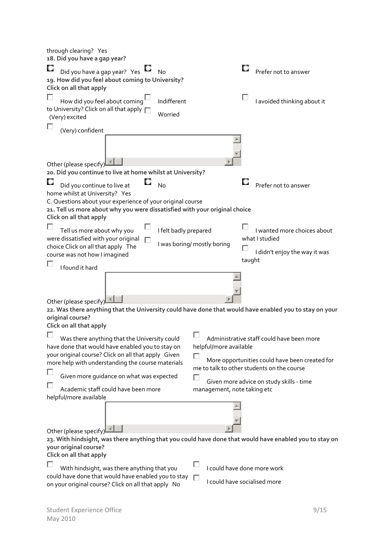| ш<br>Did you have a gap year? Yes<br><b>No</b><br>Prefer not to answer<br>19. How did you feel about coming to University?<br>Click on all that apply<br>I avoided thinking about it<br>How did you feel about coming<br>Indifferent<br>to University? Click on all that apply<br>Worried<br>(Very) excited<br>(Very) confident<br>Other (please specify)<br>20. Did you continue to live at home whilst at University?<br>Did you continue to live at<br>No<br>Prefer not to answer<br>home whilst at University? Yes<br>C. Questions about your experience of your original course<br>21. Tell us more about why you were dissatisfied with your original choice<br>Click on all that apply<br>I wanted more choices about<br>I felt badly prepared<br>Tell us more about why you<br>were dissatisfied with your original<br>what I studied<br>п<br>I was boring/ mostly boring<br>choice Click on all that apply The<br>I didn't enjoy the way it was<br>course was not how I imagined<br>taught<br>I found it hard<br>Other (please specify)<br>22. Was there anything that the University could have done that would have enabled you to stay on your<br>original course?<br>Click on all that apply<br>Administrative staff could have been more<br>Was there anything that the University could<br>have done that would have enabled you to stay on<br>helpful/more available<br>your original course? Click on all that apply Given<br>More opportunities could have been created for<br>more help with understanding the course materials<br>me to talk to other students on the course<br>Given more guidance on what was expected<br>Given more advice on study skills - time<br>Academic staff could have been more<br>management, note taking etc<br>helpful/more available<br>Other (please specify)<br>23. With hindsight, was there anything that you could have done that would have enabled you to stay on<br>your original course?<br>Click on all that apply<br>I could have done more work<br>With hindsight, was there anything that you<br>could have done that would have enabled you to stay<br>U<br>I could have socialised more<br>on your original course? Click on all that apply No | through clearing? Yes<br>18. Did you have a gap year? |  |
|-------------------------------------------------------------------------------------------------------------------------------------------------------------------------------------------------------------------------------------------------------------------------------------------------------------------------------------------------------------------------------------------------------------------------------------------------------------------------------------------------------------------------------------------------------------------------------------------------------------------------------------------------------------------------------------------------------------------------------------------------------------------------------------------------------------------------------------------------------------------------------------------------------------------------------------------------------------------------------------------------------------------------------------------------------------------------------------------------------------------------------------------------------------------------------------------------------------------------------------------------------------------------------------------------------------------------------------------------------------------------------------------------------------------------------------------------------------------------------------------------------------------------------------------------------------------------------------------------------------------------------------------------------------------------------------------------------------------------------------------------------------------------------------------------------------------------------------------------------------------------------------------------------------------------------------------------------------------------------------------------------------------------------------------------------------------------------------------------------------------------------------------------------------------------------------------------------------------|-------------------------------------------------------|--|
|                                                                                                                                                                                                                                                                                                                                                                                                                                                                                                                                                                                                                                                                                                                                                                                                                                                                                                                                                                                                                                                                                                                                                                                                                                                                                                                                                                                                                                                                                                                                                                                                                                                                                                                                                                                                                                                                                                                                                                                                                                                                                                                                                                                                                   |                                                       |  |
|                                                                                                                                                                                                                                                                                                                                                                                                                                                                                                                                                                                                                                                                                                                                                                                                                                                                                                                                                                                                                                                                                                                                                                                                                                                                                                                                                                                                                                                                                                                                                                                                                                                                                                                                                                                                                                                                                                                                                                                                                                                                                                                                                                                                                   |                                                       |  |
|                                                                                                                                                                                                                                                                                                                                                                                                                                                                                                                                                                                                                                                                                                                                                                                                                                                                                                                                                                                                                                                                                                                                                                                                                                                                                                                                                                                                                                                                                                                                                                                                                                                                                                                                                                                                                                                                                                                                                                                                                                                                                                                                                                                                                   |                                                       |  |
|                                                                                                                                                                                                                                                                                                                                                                                                                                                                                                                                                                                                                                                                                                                                                                                                                                                                                                                                                                                                                                                                                                                                                                                                                                                                                                                                                                                                                                                                                                                                                                                                                                                                                                                                                                                                                                                                                                                                                                                                                                                                                                                                                                                                                   |                                                       |  |
|                                                                                                                                                                                                                                                                                                                                                                                                                                                                                                                                                                                                                                                                                                                                                                                                                                                                                                                                                                                                                                                                                                                                                                                                                                                                                                                                                                                                                                                                                                                                                                                                                                                                                                                                                                                                                                                                                                                                                                                                                                                                                                                                                                                                                   |                                                       |  |
|                                                                                                                                                                                                                                                                                                                                                                                                                                                                                                                                                                                                                                                                                                                                                                                                                                                                                                                                                                                                                                                                                                                                                                                                                                                                                                                                                                                                                                                                                                                                                                                                                                                                                                                                                                                                                                                                                                                                                                                                                                                                                                                                                                                                                   |                                                       |  |
|                                                                                                                                                                                                                                                                                                                                                                                                                                                                                                                                                                                                                                                                                                                                                                                                                                                                                                                                                                                                                                                                                                                                                                                                                                                                                                                                                                                                                                                                                                                                                                                                                                                                                                                                                                                                                                                                                                                                                                                                                                                                                                                                                                                                                   |                                                       |  |
|                                                                                                                                                                                                                                                                                                                                                                                                                                                                                                                                                                                                                                                                                                                                                                                                                                                                                                                                                                                                                                                                                                                                                                                                                                                                                                                                                                                                                                                                                                                                                                                                                                                                                                                                                                                                                                                                                                                                                                                                                                                                                                                                                                                                                   |                                                       |  |
|                                                                                                                                                                                                                                                                                                                                                                                                                                                                                                                                                                                                                                                                                                                                                                                                                                                                                                                                                                                                                                                                                                                                                                                                                                                                                                                                                                                                                                                                                                                                                                                                                                                                                                                                                                                                                                                                                                                                                                                                                                                                                                                                                                                                                   |                                                       |  |
|                                                                                                                                                                                                                                                                                                                                                                                                                                                                                                                                                                                                                                                                                                                                                                                                                                                                                                                                                                                                                                                                                                                                                                                                                                                                                                                                                                                                                                                                                                                                                                                                                                                                                                                                                                                                                                                                                                                                                                                                                                                                                                                                                                                                                   |                                                       |  |
|                                                                                                                                                                                                                                                                                                                                                                                                                                                                                                                                                                                                                                                                                                                                                                                                                                                                                                                                                                                                                                                                                                                                                                                                                                                                                                                                                                                                                                                                                                                                                                                                                                                                                                                                                                                                                                                                                                                                                                                                                                                                                                                                                                                                                   |                                                       |  |
|                                                                                                                                                                                                                                                                                                                                                                                                                                                                                                                                                                                                                                                                                                                                                                                                                                                                                                                                                                                                                                                                                                                                                                                                                                                                                                                                                                                                                                                                                                                                                                                                                                                                                                                                                                                                                                                                                                                                                                                                                                                                                                                                                                                                                   |                                                       |  |
|                                                                                                                                                                                                                                                                                                                                                                                                                                                                                                                                                                                                                                                                                                                                                                                                                                                                                                                                                                                                                                                                                                                                                                                                                                                                                                                                                                                                                                                                                                                                                                                                                                                                                                                                                                                                                                                                                                                                                                                                                                                                                                                                                                                                                   |                                                       |  |
|                                                                                                                                                                                                                                                                                                                                                                                                                                                                                                                                                                                                                                                                                                                                                                                                                                                                                                                                                                                                                                                                                                                                                                                                                                                                                                                                                                                                                                                                                                                                                                                                                                                                                                                                                                                                                                                                                                                                                                                                                                                                                                                                                                                                                   |                                                       |  |
|                                                                                                                                                                                                                                                                                                                                                                                                                                                                                                                                                                                                                                                                                                                                                                                                                                                                                                                                                                                                                                                                                                                                                                                                                                                                                                                                                                                                                                                                                                                                                                                                                                                                                                                                                                                                                                                                                                                                                                                                                                                                                                                                                                                                                   |                                                       |  |
|                                                                                                                                                                                                                                                                                                                                                                                                                                                                                                                                                                                                                                                                                                                                                                                                                                                                                                                                                                                                                                                                                                                                                                                                                                                                                                                                                                                                                                                                                                                                                                                                                                                                                                                                                                                                                                                                                                                                                                                                                                                                                                                                                                                                                   |                                                       |  |
|                                                                                                                                                                                                                                                                                                                                                                                                                                                                                                                                                                                                                                                                                                                                                                                                                                                                                                                                                                                                                                                                                                                                                                                                                                                                                                                                                                                                                                                                                                                                                                                                                                                                                                                                                                                                                                                                                                                                                                                                                                                                                                                                                                                                                   |                                                       |  |
|                                                                                                                                                                                                                                                                                                                                                                                                                                                                                                                                                                                                                                                                                                                                                                                                                                                                                                                                                                                                                                                                                                                                                                                                                                                                                                                                                                                                                                                                                                                                                                                                                                                                                                                                                                                                                                                                                                                                                                                                                                                                                                                                                                                                                   |                                                       |  |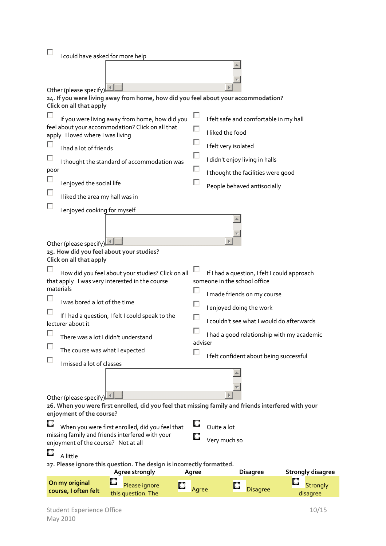|                                                                                                              | I could have asked for more help                 |                                                                                                     |         |                                |                                                         |                          |  |  |  |
|--------------------------------------------------------------------------------------------------------------|--------------------------------------------------|-----------------------------------------------------------------------------------------------------|---------|--------------------------------|---------------------------------------------------------|--------------------------|--|--|--|
|                                                                                                              |                                                  |                                                                                                     |         |                                |                                                         |                          |  |  |  |
|                                                                                                              |                                                  |                                                                                                     |         |                                |                                                         |                          |  |  |  |
|                                                                                                              | Other (please specify)                           |                                                                                                     |         |                                |                                                         |                          |  |  |  |
| 24. If you were living away from home, how did you feel about your accommodation?<br>Click on all that apply |                                                  |                                                                                                     |         |                                |                                                         |                          |  |  |  |
|                                                                                                              |                                                  | If you were living away from home, how did you                                                      |         |                                | I felt safe and comfortable in my hall                  |                          |  |  |  |
|                                                                                                              |                                                  | feel about your accommodation? Click on all that                                                    |         |                                |                                                         |                          |  |  |  |
|                                                                                                              | apply I loved where I was living                 |                                                                                                     |         | I liked the food               |                                                         |                          |  |  |  |
|                                                                                                              | I had a lot of friends                           |                                                                                                     |         | I felt very isolated           |                                                         |                          |  |  |  |
|                                                                                                              |                                                  | I thought the standard of accommodation was                                                         |         | I didn't enjoy living in halls |                                                         |                          |  |  |  |
| poor                                                                                                         |                                                  |                                                                                                     |         |                                | I thought the facilities were good                      |                          |  |  |  |
|                                                                                                              | I enjoyed the social life                        |                                                                                                     |         |                                | People behaved antisocially                             |                          |  |  |  |
|                                                                                                              | I liked the area my hall was in                  |                                                                                                     |         |                                |                                                         |                          |  |  |  |
|                                                                                                              | I enjoyed cooking for myself                     |                                                                                                     |         |                                |                                                         |                          |  |  |  |
|                                                                                                              |                                                  |                                                                                                     |         |                                |                                                         |                          |  |  |  |
|                                                                                                              |                                                  |                                                                                                     |         |                                |                                                         |                          |  |  |  |
|                                                                                                              | Other (please specify)                           |                                                                                                     |         |                                |                                                         |                          |  |  |  |
|                                                                                                              | Click on all that apply                          | 25. How did you feel about your studies?                                                            |         |                                |                                                         |                          |  |  |  |
|                                                                                                              |                                                  |                                                                                                     |         |                                |                                                         |                          |  |  |  |
|                                                                                                              |                                                  | How did you feel about your studies? Click on all<br>that apply I was very interested in the course |         | someone in the school office   | If I had a question, I felt I could approach            |                          |  |  |  |
|                                                                                                              | materials                                        |                                                                                                     |         |                                |                                                         |                          |  |  |  |
|                                                                                                              |                                                  | I was bored a lot of the time                                                                       |         |                                | I made friends on my course<br>I enjoyed doing the work |                          |  |  |  |
|                                                                                                              | If I had a question, I felt I could speak to the |                                                                                                     |         |                                |                                                         |                          |  |  |  |
|                                                                                                              | lecturer about it                                |                                                                                                     |         |                                | I couldn't see what I would do afterwards               |                          |  |  |  |
|                                                                                                              |                                                  | There was a lot I didn't understand                                                                 | adviser |                                | I had a good relationship with my academic              |                          |  |  |  |
|                                                                                                              | The course was what I expected                   |                                                                                                     |         |                                |                                                         |                          |  |  |  |
|                                                                                                              | I missed a lot of classes                        |                                                                                                     |         |                                | I felt confident about being successful                 |                          |  |  |  |
|                                                                                                              |                                                  |                                                                                                     |         |                                |                                                         |                          |  |  |  |
|                                                                                                              |                                                  |                                                                                                     |         |                                |                                                         |                          |  |  |  |
|                                                                                                              | Other (please specify)                           |                                                                                                     |         |                                |                                                         |                          |  |  |  |
|                                                                                                              | enjoyment of the course?                         | 26. When you were first enrolled, did you feel that missing family and friends interfered with your |         |                                |                                                         |                          |  |  |  |
|                                                                                                              |                                                  |                                                                                                     |         |                                |                                                         |                          |  |  |  |
|                                                                                                              |                                                  | When you were first enrolled, did you feel that<br>missing family and friends interfered with your  |         | Quite a lot                    |                                                         |                          |  |  |  |
|                                                                                                              | enjoyment of the course? Not at all              |                                                                                                     |         | Very much so                   |                                                         |                          |  |  |  |
| U.<br>A little                                                                                               |                                                  |                                                                                                     |         |                                |                                                         |                          |  |  |  |
|                                                                                                              |                                                  | 27. Please ignore this question. The design is incorrectly formatted.<br>Agree strongly             | Agree   |                                | <b>Disagree</b>                                         | <b>Strongly disagree</b> |  |  |  |
|                                                                                                              | On my original                                   | Please ignore                                                                                       |         |                                |                                                         | <b>Strongly</b>          |  |  |  |
|                                                                                                              | course, I often felt                             | this question. The                                                                                  | Agree   |                                | <b>Disagree</b>                                         | disagree                 |  |  |  |
|                                                                                                              | <b>Student Experience Office</b>                 |                                                                                                     |         |                                |                                                         | 10/15                    |  |  |  |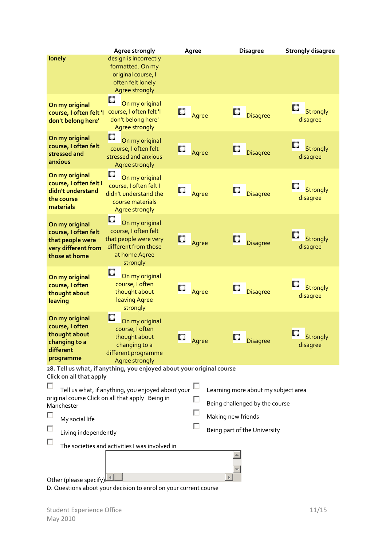|                                                                                                                                                                                                                                                                                                                              | Agree strongly                                                                                                       | Agree        | <b>Disagree</b>           | <b>Strongly disagree</b>         |  |  |
|------------------------------------------------------------------------------------------------------------------------------------------------------------------------------------------------------------------------------------------------------------------------------------------------------------------------------|----------------------------------------------------------------------------------------------------------------------|--------------|---------------------------|----------------------------------|--|--|
| lonely                                                                                                                                                                                                                                                                                                                       | design is incorrectly<br>formatted. On my<br>original course, I<br>often felt lonely<br>Agree strongly               |              |                           |                                  |  |  |
| On my original<br>course, I often felt 'I<br>don't belong here'                                                                                                                                                                                                                                                              | $\Box$<br>On my original<br>course, I often felt 'I<br>don't belong here'<br><b>Agree strongly</b>                   | $\Box$ Agree | $\Box$<br>Disagree        | Strongly<br>disagree             |  |  |
| On my original<br>course, I often felt<br>stressed and<br>anxious                                                                                                                                                                                                                                                            | O<br>On my original<br>course, I often felt<br>stressed and anxious<br>Agree strongly                                | $\Box$ Agree | $\Box$<br><b>Disagree</b> | Strongly<br>disagree             |  |  |
| On my original<br>course, I often felt I<br>didn't understand<br>the course<br>materials                                                                                                                                                                                                                                     | u<br>On my original<br>course, I often felt I<br>didn't understand the<br>course materials<br>Agree strongly         | $\Box$ Agree | <b>Disagree</b>           | Strongly<br>disagree             |  |  |
| On my original<br>course, I often felt<br>that people were<br>very different from<br>those at home                                                                                                                                                                                                                           | On my original<br>course, I often felt<br>that people were very<br>different from those<br>at home Agree<br>strongly | $\Box$ Agree | <b>Disagree</b>           | <b>Strongly</b><br>disagree      |  |  |
| On my original<br>course, I often<br>thought about<br>leaving                                                                                                                                                                                                                                                                | O<br>On my original<br>course, I often<br>thought about<br>leaving Agree<br>strongly                                 | $\Box$ Agree | Disagree                  | Strongly<br>disagree             |  |  |
| On my original<br>course, I often<br>thought about<br>changing to a<br>different<br>programme                                                                                                                                                                                                                                | D<br>On my original<br>course, I often<br>thought about<br>changing to a<br>different programme<br>Agree strongly    | Agree        | <b>Disagree</b>           | О<br><b>Strongly</b><br>disagree |  |  |
| 28. Tell us what, if anything, you enjoyed about your original course                                                                                                                                                                                                                                                        |                                                                                                                      |              |                           |                                  |  |  |
| Click on all that apply<br>Tell us what, if anything, you enjoyed about your<br>Learning more about my subject area<br>original course Click on all that apply Being in<br>П<br>Being challenged by the course<br>Manchester<br>Making new friends<br>My social life<br>Being part of the University<br>Living independently |                                                                                                                      |              |                           |                                  |  |  |
|                                                                                                                                                                                                                                                                                                                              | The societies and activities I was involved in                                                                       |              |                           |                                  |  |  |
| Other (please specify)                                                                                                                                                                                                                                                                                                       |                                                                                                                      |              |                           |                                  |  |  |

D. Questions about your decision to enrol on your current course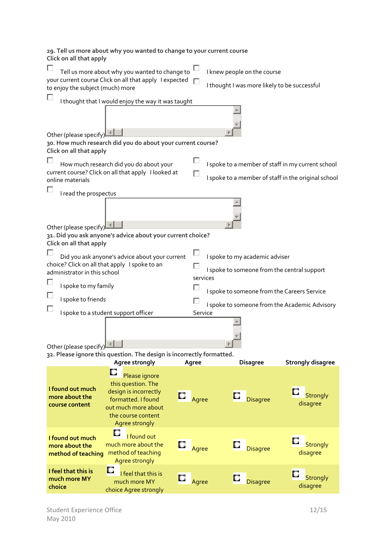**29. Tell us more about why you wanted to change to your current course Click on all that apply** П Tell us more about why you wanted to change to  $\Box$ I knew people on the course your current course Click on all that apply lexpected I thought I was more likely to be successful to enjoy the subject (much) more П I thought that I would enjoy the way it was taught Other (please specify) **30. How much research did you do about your current course? Click on all that apply** П П How much research did you do about your I spoke to a member of staff in my current school current course? Click on all that apply I looked at П I spoke to a member of staff in the original school online materials П I read the prospectus Other (please specify) $\Box$ **31. Did you ask anyone's advice about your current choice? Click on all that apply** П П Did you ask anyone's advice about your current I spoke to my academic adviser choice? Click on all that apply I spoke to an  $\Box$ I spoke to someone from the central support administrator in this school services П I spoke to my family Г I spoke to someone from the Careers Service Е I spoke to friends Г I spoke to someone from the Academic Advisory П I spoke to a student support officer Service Other (please specify) **32. Please ignore this question. The design is incorrectly formatted. Agree strongly Agree Disagree Strongly disagree** D Please ignore this question. The **I found out much** design is incorrectly Agree **Disagree** Strongly **more about the** formatted. I found disagree **course content** out much more about the course content Agree strongly o I found out **I found out much** Agree **Disagree** Strongly much more about the **more about the method of teaching** method of teaching disagree Agree strongly **I feel that this is** O I feel that this is Agree **D**isagree Strongly **much more MY** much more MY **choice** disagreechoice Agree strongly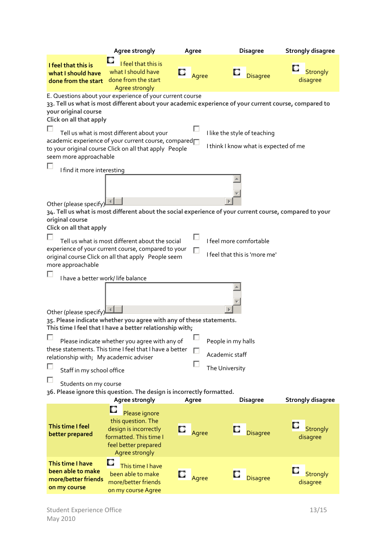|                                                                                                                                                                                 | Agree strongly                                                                                                                                                                                                                                                                                                                    |  | Agree |                                                        | <b>Disagree</b>                       | <b>Strongly disagree</b>    |  |
|---------------------------------------------------------------------------------------------------------------------------------------------------------------------------------|-----------------------------------------------------------------------------------------------------------------------------------------------------------------------------------------------------------------------------------------------------------------------------------------------------------------------------------|--|-------|--------------------------------------------------------|---------------------------------------|-----------------------------|--|
| I feel that this is<br>what I should have<br>done from the start                                                                                                                | I feel that this is<br>what I should have<br>done from the start<br>Agree strongly                                                                                                                                                                                                                                                |  | Agree |                                                        | <b>Disagree</b>                       | <b>Strongly</b><br>disagree |  |
| your original course<br>Click on all that apply<br>seem more approachable                                                                                                       | E. Questions about your experience of your current course<br>33. Tell us what is most different about your academic experience of your current course, compared to<br>Tell us what is most different about your<br>academic experience of your current course, compared<br>to your original course Click on all that apply People |  |       | I like the style of teaching                           | I think I know what is expected of me |                             |  |
| I find it more interesting                                                                                                                                                      |                                                                                                                                                                                                                                                                                                                                   |  |       |                                                        |                                       |                             |  |
| Other (please specify)<br>34. Tell us what is most different about the social experience of your current course, compared to your<br>original course<br>Click on all that apply |                                                                                                                                                                                                                                                                                                                                   |  |       |                                                        |                                       |                             |  |
| more approachable                                                                                                                                                               | Tell us what is most different about the social<br>experience of your current course, compared to your<br>original course Click on all that apply People seem                                                                                                                                                                     |  |       | I feel more comfortable                                | I feel that this is 'more me'         |                             |  |
| I have a better work/ life balance<br>Other (please specify)                                                                                                                    | 35. Please indicate whether you agree with any of these statements.                                                                                                                                                                                                                                                               |  |       |                                                        |                                       |                             |  |
| relationship with; My academic adviser<br>Staff in my school office                                                                                                             | This time I feel that I have a better relationship with;<br>Please indicate whether you agree with any of<br>these statements. This time I feel that I have a better                                                                                                                                                              |  |       | People in my halls<br>Academic staff<br>The University |                                       |                             |  |
| Students on my course<br>36. Please ignore this question. The design is incorrectly formatted.<br>Agree strongly<br><b>Disagree</b><br><b>Strongly disagree</b><br>Agree        |                                                                                                                                                                                                                                                                                                                                   |  |       |                                                        |                                       |                             |  |
| This time I feel<br>better prepared                                                                                                                                             | Please ignore<br>this question. The<br>design is incorrectly<br>formatted. This time I<br>feel better prepared<br>Agree strongly                                                                                                                                                                                                  |  | Agree |                                                        | <b>Disagree</b>                       | Strongly<br>disagree        |  |
| This time I have<br>been able to make<br>more/better friends<br>on my course                                                                                                    | u<br>This time I have<br>been able to make<br>more/better friends<br>on my course Agree                                                                                                                                                                                                                                           |  | Agree |                                                        | <b>Disagree</b>                       | <b>Strongly</b><br>disagree |  |